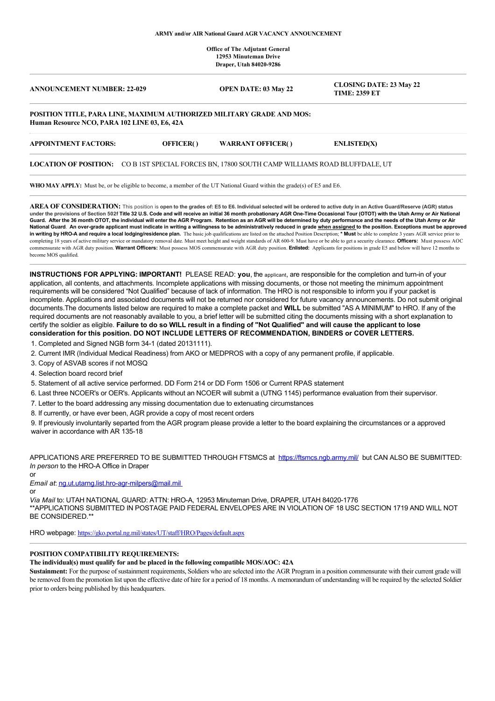#### **ARMY and/or AIR National Guard AGR VACANCY ANNOUNCEMENT**

**Office of The Adjutant General 12953 Minuteman Drive Draper, Utah 84020-9286**

| <b>ANNOUNCEMENT NUMBER: 22-029</b>                                    | <b>OPEN DATE: 03 May 22</b> | <b>CLOSING DATE: 23 May 22</b><br><b>TIME: 2359 ET</b> |
|-----------------------------------------------------------------------|-----------------------------|--------------------------------------------------------|
| POSITION TITLE, PARA LINE, MAXIMUM AUTHORIZED MILITARY GRADE AND MOS: |                             |                                                        |

**Human Resource NCO, PARA 102 LINE 03, E6, 42A**

| <b>APPOINTMENT FACTORS:</b> | <b>OFFICER()</b> | <b>WARRANT OFFICER()</b> | ENLISTED(X) |
|-----------------------------|------------------|--------------------------|-------------|
|-----------------------------|------------------|--------------------------|-------------|

#### **LOCATION OF POSITION:** CO B 1ST SPECIAL FORCES BN, 17800 SOUTH CAMP WILLIAMS ROAD BLUFFDALE, UT

**WHO MAY APPLY:** Must be, or be eligible to become, a member of the UT National Guard within the grade(s) of E5 and E6.

**AREA OF CONSIDERATION:** This position is **open to the grades of: E5 to E6. Individual selected will be ordered to active duty in an Active Guard/Reserve (AGR) status under the provisions of Section 502f Title 32 U.S. Code and will receive an initial 36 month probationary AGR One-Time Occasional Tour (OTOT) with the Utah Army or Air National Guard. After the 36 month OTOT, the individual will enter the AGR Program. Retention as an AGR will be determined by duty performance and the needs of the Utah Army or Air National Guard**. **An over-grade applicant must indicate in writing a willingness to be administratively reduced in grade when assigned to the position. Exceptions must be approved in writing by HRO-A and require a local lodging/residence plan.** The basic job qualifications are listed on the attached Position Description; **\* Must** be able to complete 3 years AGR service prior to completing 18 years of active military service or mandatory removal date. Must meet height and weight standards of AR 600-9. Must have or be able to get a security clearance. **Officers:** Must possess AOC commensurate with AGR duty position. **Warrant Officers:** Must possess MOS commensurate with AGR duty position. **Enlisted:** Applicants for positions in grade E5 and below will have 12 months to become MOS qualified.

**INSTRUCTIONS FOR APPLYING: IMPORTANT!** PLEASE READ: **you**, the applicant, are responsible for the completion and turn-in of your application, all contents, and attachments. Incomplete applications with missing documents, or those not meeting the minimum appointment requirements will be considered "Not Qualified" because of lack of information. The HRO is not responsible to inform you if your packet is incomplete. Applications and associated documents will not be returned nor considered for future vacancy announcements. Do not submit original documents.The documents listed below are required to make a complete packet and **WILL** be submitted "AS A MINIMUM" to HRO. If any of the required documents are not reasonably available to you, a brief letter will be submitted citing the documents missing with a short explanation to certify the soldier as eligible. **Failure to do so WILL result in a finding of "Not Qualified" and will cause the applicant to lose consideration for this position. DO NOT INCLUDE LETTERS OF RECOMMENDATION, BINDERS or COVER LETTERS.**

- 1. Completed and Signed NGB form 34-1 (dated 20131111).
- 2. Current IMR (Individual Medical Readiness) from AKO or MEDPROS with a copy of any permanent profile, if applicable.
- 3. Copy of ASVAB scores if not MOSQ
- 4. Selection board record brief
- 5. Statement of all active service performed. DD Form 214 or DD Form 1506 or Current RPAS statement
- 6. Last three NCOER's or OER's. Applicants without an NCOER will submit a (UTNG 1145) performance evaluation from their supervisor.
- 7. Letter to the board addressing any missing documentation due to extenuating circumstances
- 8. If currently, or have ever been, AGR provide a copy of most recent orders

9. If previously involuntarily separted from the AGR program please provide a letter to the board explaining the circumstances or a approved waiver in accordance with AR 135-18

APPLICATIONS ARE PREFERRED TO BE SUBMITTED THROUGH FTSMCS at <https://ftsmcs.ngb.army.mil/> but CAN ALSO BE SUBMITTED: *In person* to the HRO-A Office in Draper

or

*Email at*: [ng.ut.utarng.list.hro-agr-milpers@mail.mil](mailto:ng.ut.utarng.list.hro-agr-milpers@mail.milTELEPHONE) 

or

*Via Mail* to: UTAH NATIONAL GUARD: ATTN: HRO-A, 12953 Minuteman Drive, DRAPER, UTAH 84020-1776 \*\*APPLICATIONS SUBMITTED IN POSTAGE PAID FEDERAL ENVELOPES ARE IN VIOLATION OF 18 USC SECTION 1719 AND WILL NOT BE CONSIDERED.\*\*

HRO webpage: <https://gko.portal.ng.mil/states/UT/staff/HRO/Pages/default.aspx>

# **POSITION COMPATIBILITY REQUIREMENTS:**

#### **The individual(s) must qualify for and be placed in the following compatible MOS/AOC: 42A**

**Sustainment:** For the purpose of sustainment requirements, Soldiers who are selected into the AGR Program in a position commensurate with their current grade will be removed from the promotion list upon the effective date of hire for a period of 18 months. A memorandum of understanding will be required by the selected Soldier prior to orders being published by this headquarters.